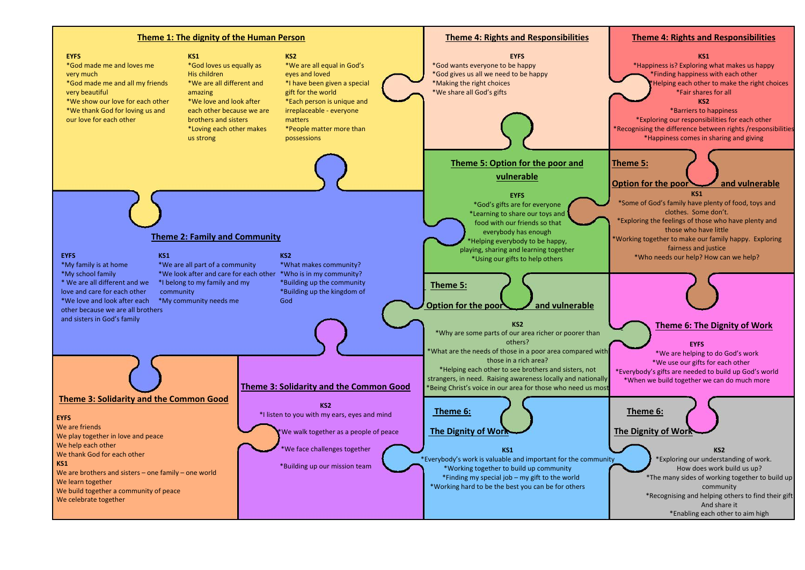## **Theme 4: Rights and Responsibilities**



## **KS1**

\*Happiness is? Exploring what makes us happy \*Finding happiness with each other Helping each other to make the right choices \*Fair shares for all

**KS2**

\*Barriers to happiness

\*Exploring our responsibilities for each other \*Recognising the difference between rights /responsibilities \*Happiness comes in sharing and giving

**Theme 5:**

**Option for the poor and vulnerable**

**KS1**

\*Some of God's family have plenty of food, toys and clothes. Some don't.

\*Exploring the feelings of those who have plenty and those who have little

\*Working together to make our family happy. Exploring fairness and justice

\*Who needs our help? How can we help?



**Theme 6: The Dignity of Work**

**EYFS**

\*We are helping to do God's work \*We use our gifts for each other \*Everybody's gifts are needed to build up God's world \*When we build together we can do much more



## **The Dignity of Work**

**KS2**\*Exploring our understanding of work. How does work build us up? \*The many sides of working together to build up community \*Recognising and helping others to find their gift And share it \*Enabling each other to aim high